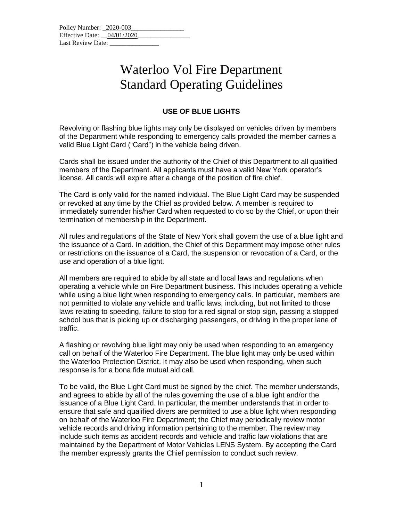| Policy Number: 2020-003    |  |
|----------------------------|--|
| Effective Date: 04/01/2020 |  |
| Last Review Date:          |  |

## Waterloo Vol Fire Department Standard Operating Guidelines

## **USE OF BLUE LIGHTS**

Revolving or flashing blue lights may only be displayed on vehicles driven by members of the Department while responding to emergency calls provided the member carries a valid Blue Light Card ("Card") in the vehicle being driven.

Cards shall be issued under the authority of the Chief of this Department to all qualified members of the Department. All applicants must have a valid New York operator's license. All cards will expire after a change of the position of fire chief.

The Card is only valid for the named individual. The Blue Light Card may be suspended or revoked at any time by the Chief as provided below. A member is required to immediately surrender his/her Card when requested to do so by the Chief, or upon their termination of membership in the Department.

All rules and regulations of the State of New York shall govern the use of a blue light and the issuance of a Card. In addition, the Chief of this Department may impose other rules or restrictions on the issuance of a Card, the suspension or revocation of a Card, or the use and operation of a blue light.

All members are required to abide by all state and local laws and regulations when operating a vehicle while on Fire Department business. This includes operating a vehicle while using a blue light when responding to emergency calls. In particular, members are not permitted to violate any vehicle and traffic laws, including, but not limited to those laws relating to speeding, failure to stop for a red signal or stop sign, passing a stopped school bus that is picking up or discharging passengers, or driving in the proper lane of traffic.

A flashing or revolving blue light may only be used when responding to an emergency call on behalf of the Waterloo Fire Department. The blue light may only be used within the Waterloo Protection District. It may also be used when responding, when such response is for a bona fide mutual aid call.

To be valid, the Blue Light Card must be signed by the chief. The member understands, and agrees to abide by all of the rules governing the use of a blue light and/or the issuance of a Blue Light Card. In particular, the member understands that in order to ensure that safe and qualified divers are permitted to use a blue light when responding on behalf of the Waterloo Fire Department; the Chief may periodically review motor vehicle records and driving information pertaining to the member. The review may include such items as accident records and vehicle and traffic law violations that are maintained by the Department of Motor Vehicles LENS System. By accepting the Card the member expressly grants the Chief permission to conduct such review.